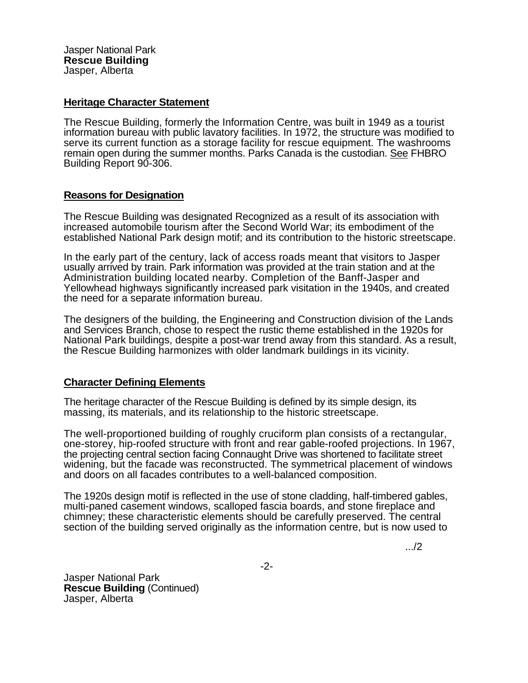Jasper National Park **Rescue Building**  Jasper, Alberta

## **Heritage Character Statement**

The Rescue Building, formerly the Information Centre, was built in 1949 as a tourist information bureau with public lavatory facilities. In 1972, the structure was modified to serve its current function as a storage facility for rescue equipment. The washrooms remain open during the summer months. Parks Canada is the custodian. See FHBRO Building Report 90-306.

## **Reasons for Designation**

The Rescue Building was designated Recognized as a result of its association with increased automobile tourism after the Second World War; its embodiment of the established National Park design motif; and its contribution to the historic streetscape.

In the early part of the century, lack of access roads meant that visitors to Jasper usually arrived by train. Park information was provided at the train station and at the Administration building located nearby. Completion of the Banff-Jasper and Yellowhead highways significantly increased park visitation in the 1940s, and created the need for a separate information bureau.

The designers of the building, the Engineering and Construction division of the Lands and Services Branch, chose to respect the rustic theme established in the 1920s for National Park buildings, despite a post-war trend away from this standard. As a result, the Rescue Building harmonizes with older landmark buildings in its vicinity.

## **Character Defining Elements**

The heritage character of the Rescue Building is defined by its simple design, its massing, its materials, and its relationship to the historic streetscape.

The well-proportioned building of roughly cruciform plan consists of a rectangular, one-storey, hip-roofed structure with front and rear gable-roofed projections. In 1967, the projecting central section facing Connaught Drive was shortened to facilitate street widening, but the facade was reconstructed. The symmetrical placement of windows and doors on all facades contributes to a well-balanced composition.

The 1920s design motif is reflected in the use of stone cladding, half-timbered gables, multi-paned casement windows, scalloped fascia boards, and stone fireplace and chimney; these characteristic elements should be carefully preserved. The central section of the building served originally as the information centre, but is now used to

.../2

Jasper National Park **Rescue Building** (Continued) Jasper, Alberta